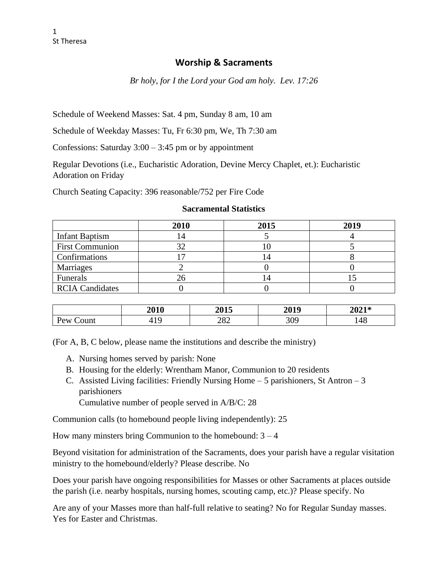### **Worship & Sacraments**

*Br holy, for I the Lord your God am holy. Lev. 17:26*

Schedule of Weekend Masses: Sat. 4 pm, Sunday 8 am, 10 am

Schedule of Weekday Masses: Tu, Fr 6:30 pm, We, Th 7:30 am

Confessions: Saturday  $3:00 - 3:45$  pm or by appointment

Regular Devotions (i.e., Eucharistic Adoration, Devine Mercy Chaplet, et.): Eucharistic Adoration on Friday

Church Seating Capacity: 396 reasonable/752 per Fire Code

|                        | 2010 | 2015 | 2019 |
|------------------------|------|------|------|
| <b>Infant Baptism</b>  | .4   |      |      |
| <b>First Communion</b> |      |      |      |
| Confirmations          |      |      |      |
| Marriages              |      |      |      |
| Funerals               | 26   |      |      |
| <b>RCIA Candidates</b> |      |      |      |

#### **Sacramental Statistics**

|                                  | 901 A<br>40 I.U | 2015 | 2019       | $AA + b$<br>2021 |
|----------------------------------|-----------------|------|------------|------------------|
| $\sqrt{ }$<br>ount<br><b>Pew</b> |                 | ^⊙ר  | າດດ<br>CU. |                  |

(For A, B, C below, please name the institutions and describe the ministry)

- A. Nursing homes served by parish: None
- B. Housing for the elderly: Wrentham Manor, Communion to 20 residents
- C. Assisted Living facilities: Friendly Nursing Home  $-5$  parishioners, St Antron  $-3$ parishioners

Cumulative number of people served in A/B/C: 28

Communion calls (to homebound people living independently): 25

How many minsters bring Communion to the homebound:  $3 - 4$ 

Beyond visitation for administration of the Sacraments, does your parish have a regular visitation ministry to the homebound/elderly? Please describe. No

Does your parish have ongoing responsibilities for Masses or other Sacraments at places outside the parish (i.e. nearby hospitals, nursing homes, scouting camp, etc.)? Please specify. No

Are any of your Masses more than half-full relative to seating? No for Regular Sunday masses. Yes for Easter and Christmas.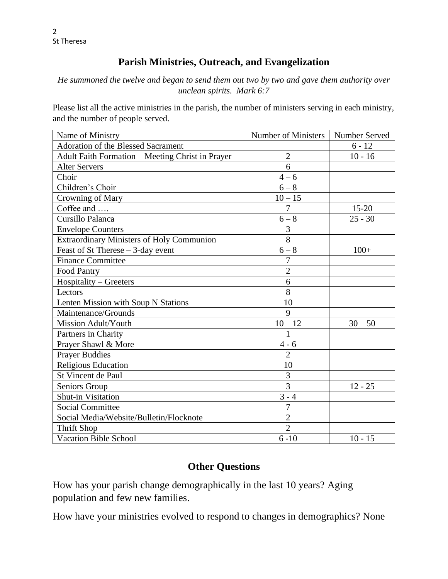# **Parish Ministries, Outreach, and Evangelization**

*He summoned the twelve and began to send them out two by two and gave them authority over unclean spirits. Mark 6:7*

Please list all the active ministries in the parish, the number of ministers serving in each ministry, and the number of people served.

| Name of Ministry                                 | Number of Ministers | Number Served |
|--------------------------------------------------|---------------------|---------------|
| <b>Adoration of the Blessed Sacrament</b>        |                     | $6 - 12$      |
| Adult Faith Formation - Meeting Christ in Prayer | $\overline{2}$      | $10 - 16$     |
| <b>Alter Servers</b>                             | 6                   |               |
| Choir                                            | $4 - 6$             |               |
| Children's Choir                                 | $6-8$               |               |
| Crowning of Mary                                 | $10 - 15$           |               |
| Coffee and                                       | $\overline{7}$      | $15 - 20$     |
| Cursillo Palanca                                 | $6 - 8$             | $25 - 30$     |
| <b>Envelope Counters</b>                         | 3                   |               |
| Extraordinary Ministers of Holy Communion        | $\overline{8}$      |               |
| Feast of St Therese - 3-day event                | $6 - 8$             | $100+$        |
| <b>Finance Committee</b>                         | $\overline{7}$      |               |
| <b>Food Pantry</b>                               | $\overline{2}$      |               |
| Hospitality - Greeters                           | 6                   |               |
| Lectors                                          | 8                   |               |
| Lenten Mission with Soup N Stations              | 10                  |               |
| Maintenance/Grounds                              | 9                   |               |
| Mission Adult/Youth                              | $10 - 12$           | $30 - 50$     |
| Partners in Charity                              | $\mathbf{1}$        |               |
| Prayer Shawl & More                              | $4 - 6$             |               |
| <b>Prayer Buddies</b>                            | $\overline{2}$      |               |
| <b>Religious Education</b>                       | 10                  |               |
| St Vincent de Paul                               | 3                   |               |
| Seniors Group                                    | $\overline{3}$      | $12 - 25$     |
| <b>Shut-in Visitation</b>                        | $3 - 4$             |               |
| <b>Social Committee</b>                          | 7                   |               |
| Social Media/Website/Bulletin/Flocknote          | $\overline{2}$      |               |
| <b>Thrift Shop</b>                               | $\overline{2}$      |               |
| <b>Vacation Bible School</b>                     | $6 - 10$            | $10 - 15$     |

## **Other Questions**

How has your parish change demographically in the last 10 years? Aging population and few new families.

How have your ministries evolved to respond to changes in demographics? None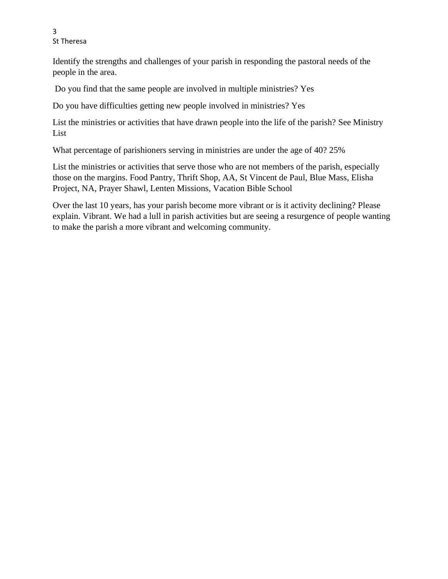Identify the strengths and challenges of your parish in responding the pastoral needs of the people in the area.

Do you find that the same people are involved in multiple ministries? Yes

Do you have difficulties getting new people involved in ministries? Yes

List the ministries or activities that have drawn people into the life of the parish? See Ministry List

What percentage of parishioners serving in ministries are under the age of 40? 25%

List the ministries or activities that serve those who are not members of the parish, especially those on the margins. Food Pantry, Thrift Shop, AA, St Vincent de Paul, Blue Mass, Elisha Project, NA, Prayer Shawl, Lenten Missions, Vacation Bible School

Over the last 10 years, has your parish become more vibrant or is it activity declining? Please explain. Vibrant. We had a lull in parish activities but are seeing a resurgence of people wanting to make the parish a more vibrant and welcoming community.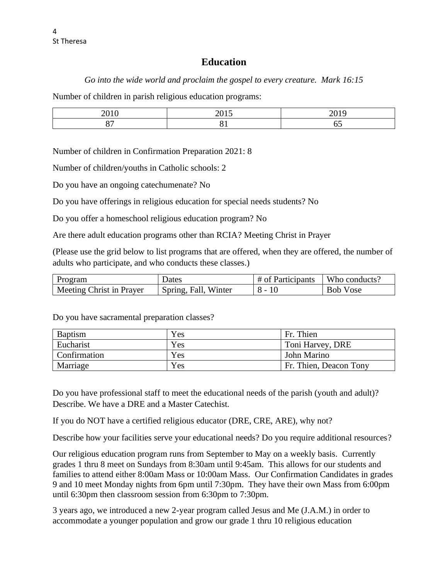## **Education**

*Go into the wide world and proclaim the gospel to every creature. Mark 16:15*

Number of children in parish religious education programs:

| $-$ |  |
|-----|--|
|     |  |

Number of children in Confirmation Preparation 2021: 8

Number of children/youths in Catholic schools: 2

Do you have an ongoing catechumenate? No

Do you have offerings in religious education for special needs students? No

Do you offer a homeschool religious education program? No

Are there adult education programs other than RCIA? Meeting Christ in Prayer

(Please use the grid below to list programs that are offered, when they are offered, the number of adults who participate, and who conducts these classes.)

| <b>Program</b>           | Dates                | # of Participants | Who conducts?   |
|--------------------------|----------------------|-------------------|-----------------|
| Meeting Christ in Prayer | Spring, Fall, Winter | 8 - 10            | <b>Bob Vose</b> |

Do you have sacramental preparation classes?

| <b>Baptism</b> | Yes | Fr. Thien              |
|----------------|-----|------------------------|
| Eucharist      | Yes | Toni Harvey, DRE       |
| Confirmation   | Yes | John Marino            |
| Marriage       | Yes | Fr. Thien, Deacon Tony |

Do you have professional staff to meet the educational needs of the parish (youth and adult)? Describe. We have a DRE and a Master Catechist.

If you do NOT have a certified religious educator (DRE, CRE, ARE), why not?

Describe how your facilities serve your educational needs? Do you require additional resources?

Our religious education program runs from September to May on a weekly basis. Currently grades 1 thru 8 meet on Sundays from 8:30am until 9:45am. This allows for our students and families to attend either 8:00am Mass or 10:00am Mass. Our Confirmation Candidates in grades 9 and 10 meet Monday nights from 6pm until 7:30pm. They have their own Mass from 6:00pm until 6:30pm then classroom session from 6:30pm to 7:30pm.

3 years ago, we introduced a new 2-year program called Jesus and Me (J.A.M.) in order to accommodate a younger population and grow our grade 1 thru 10 religious education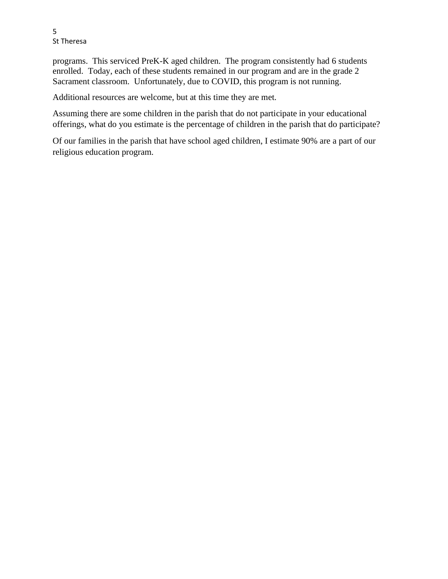programs. This serviced PreK-K aged children. The program consistently had 6 students enrolled. Today, each of these students remained in our program and are in the grade 2 Sacrament classroom. Unfortunately, due to COVID, this program is not running.

Additional resources are welcome, but at this time they are met.

Assuming there are some children in the parish that do not participate in your educational offerings, what do you estimate is the percentage of children in the parish that do participate?

Of our families in the parish that have school aged children, I estimate 90% are a part of our religious education program.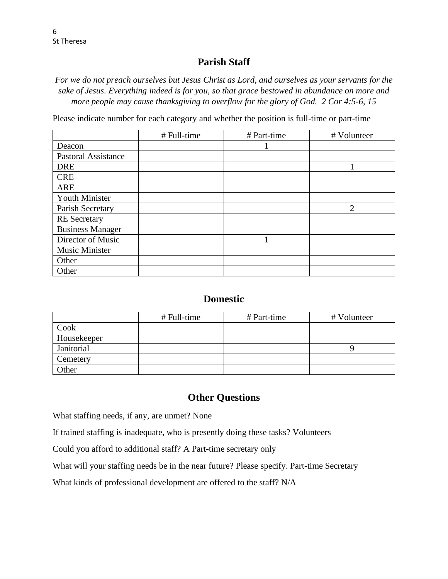## **Parish Staff**

*For we do not preach ourselves but Jesus Christ as Lord, and ourselves as your servants for the sake of Jesus. Everything indeed is for you, so that grace bestowed in abundance on more and more people may cause thanksgiving to overflow for the glory of God. 2 Cor 4:5-6, 15*

Please indicate number for each category and whether the position is full-time or part-time

|                            | # Full-time | # Part-time | # Volunteer    |
|----------------------------|-------------|-------------|----------------|
| Deacon                     |             |             |                |
| <b>Pastoral Assistance</b> |             |             |                |
| <b>DRE</b>                 |             |             |                |
| <b>CRE</b>                 |             |             |                |
| ARE                        |             |             |                |
| <b>Youth Minister</b>      |             |             |                |
| Parish Secretary           |             |             | $\overline{2}$ |
| <b>RE</b> Secretary        |             |             |                |
| <b>Business Manager</b>    |             |             |                |
| Director of Music          |             |             |                |
| Music Minister             |             |             |                |
| Other                      |             |             |                |
| Other                      |             |             |                |

### **Domestic**

|              | $#$ Full-time | # Part-time | # Volunteer |
|--------------|---------------|-------------|-------------|
| Cook         |               |             |             |
| Housekeeper  |               |             |             |
| Janitorial   |               |             |             |
| Cemetery     |               |             |             |
| <b>Other</b> |               |             |             |

### **Other Questions**

What staffing needs, if any, are unmet? None

If trained staffing is inadequate, who is presently doing these tasks? Volunteers

Could you afford to additional staff? A Part-time secretary only

What will your staffing needs be in the near future? Please specify. Part-time Secretary

What kinds of professional development are offered to the staff? N/A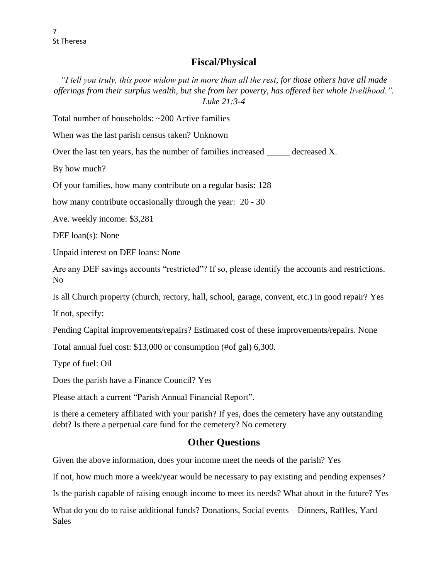### **Fiscal/Physical**

*"I tell you truly, this poor widow put in more than all the rest, for those others have all made offerings from their surplus wealth, but she from her poverty, has offered her whole livelihood.". Luke 21:3-4*

Total number of households: ~200 Active families

When was the last parish census taken? Unknown

Over the last ten years, has the number of families increased decreased X.

By how much?

Of your families, how many contribute on a regular basis: 128

how many contribute occasionally through the year: 20 - 30

Ave. weekly income: \$3,281

DEF loan(s): None

Unpaid interest on DEF loans: None

Are any DEF savings accounts "restricted"? If so, please identify the accounts and restrictions. No

Is all Church property (church, rectory, hall, school, garage, convent, etc.) in good repair? Yes

If not, specify:

Pending Capital improvements/repairs? Estimated cost of these improvements/repairs. None

Total annual fuel cost: \$13,000 or consumption (#of gal) 6,300.

Type of fuel: Oil

Does the parish have a Finance Council? Yes

Please attach a current "Parish Annual Financial Report".

Is there a cemetery affiliated with your parish? If yes, does the cemetery have any outstanding debt? Is there a perpetual care fund for the cemetery? No cemetery

### **Other Questions**

Given the above information, does your income meet the needs of the parish? Yes

If not, how much more a week/year would be necessary to pay existing and pending expenses?

Is the parish capable of raising enough income to meet its needs? What about in the future? Yes

What do you do to raise additional funds? Donations, Social events – Dinners, Raffles, Yard Sales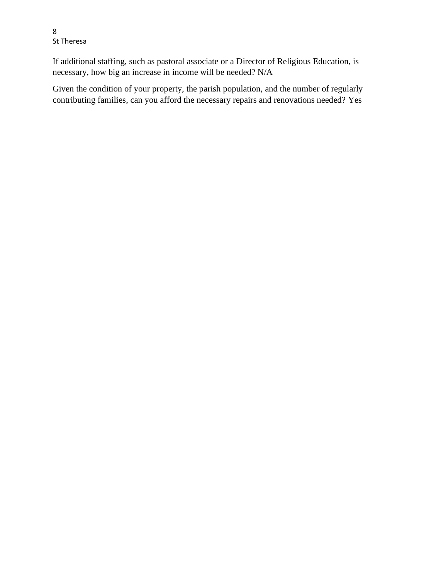If additional staffing, such as pastoral associate or a Director of Religious Education, is necessary, how big an increase in income will be needed? N/A

Given the condition of your property, the parish population, and the number of regularly contributing families, can you afford the necessary repairs and renovations needed? Yes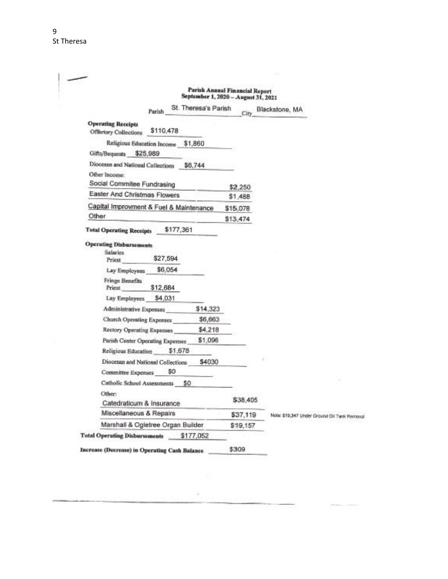|                                                                                  | September 1, 2020 - August 31, 2021 | <b>Parish Annual Financial Report</b> |                                              |
|----------------------------------------------------------------------------------|-------------------------------------|---------------------------------------|----------------------------------------------|
| Parish                                                                           | St. Theresa's Parish                | City                                  | Blackstone, MA                               |
| <b>Operating Receipts</b><br>\$110,478<br>Offertory Collections                  |                                     |                                       |                                              |
| Religious Education Income                                                       | \$1,860                             |                                       |                                              |
| Gifts/Bequests \$25,989                                                          |                                     |                                       |                                              |
| Diocessn and National Collections<br>Other Income:<br>Social Commitee Fundrasing | \$6,744                             | \$2,250                               |                                              |
| Easter And Christmas Flowers                                                     |                                     | \$1,488                               |                                              |
| Capital Improvment & Fuel & Maintenance                                          |                                     | \$15,078                              |                                              |
| Other                                                                            |                                     | \$13,474                              |                                              |
| \$177,361<br><b>Total Operating Receipts</b>                                     |                                     |                                       |                                              |
| <b>Operating Disbursements</b><br><b>Salaries</b><br>\$27,594<br>Priest          |                                     |                                       |                                              |
| \$6,054<br>Lay Employees                                                         |                                     |                                       |                                              |
| Frings Benefits<br>\$12,684<br>Priest                                            |                                     |                                       |                                              |
| Lay Employees<br>\$4,031                                                         |                                     |                                       |                                              |
| Administrative Expenses                                                          | \$14,323                            |                                       |                                              |
| <b>Church Operating Expenses</b>                                                 | \$6,663                             |                                       |                                              |
| Rectory Operating Expenses                                                       | \$4,218                             |                                       |                                              |
| Parish Center Operating Expenses                                                 | \$1,096                             |                                       |                                              |
| Religious Education<br>\$1,678                                                   |                                     |                                       |                                              |
| Diocesan and National Collections                                                | \$4030                              |                                       | W.                                           |
| SD.<br>Committee Expenses                                                        |                                     |                                       |                                              |
| Catholic School Assessments                                                      | S0                                  |                                       |                                              |
| Other:                                                                           |                                     | \$38,405                              |                                              |
| Catedraticum & Insurance                                                         |                                     |                                       |                                              |
| Miscellaneous & Repairs                                                          |                                     | \$37,119                              | Note: \$19,347 Under Ground Oil Tank Removal |
| Marshall & Ogletree Organ Builder                                                |                                     | \$19,157                              |                                              |

 $\hat{E}$